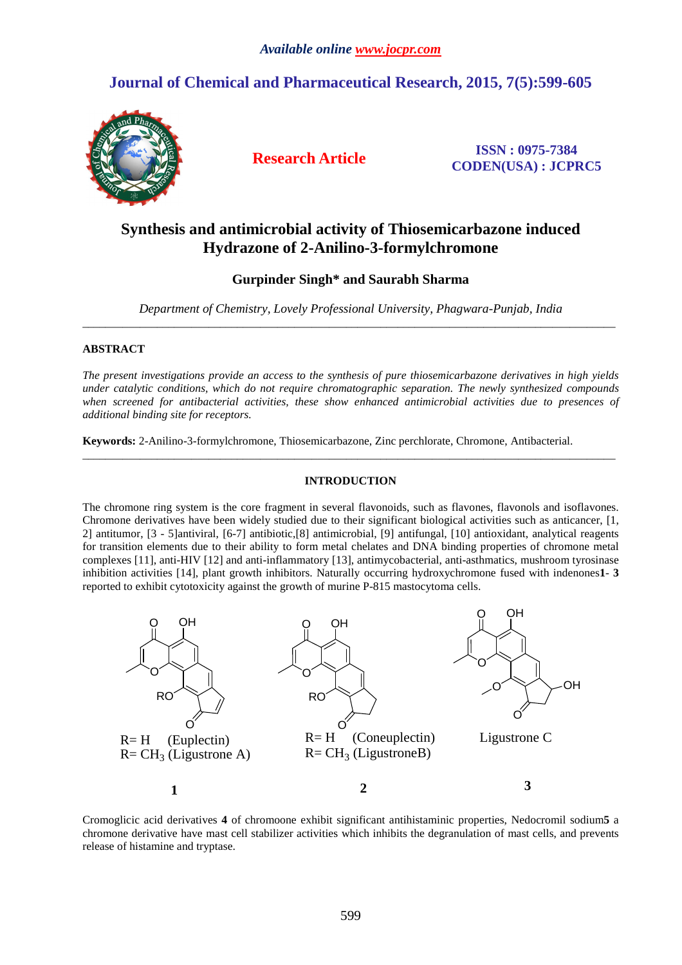# **Journal of Chemical and Pharmaceutical Research, 2015, 7(5):599-605**



**Research Article ISSN : 0975-7384 CODEN(USA) : JCPRC5**

## **Synthesis and antimicrobial activity of Thiosemicarbazone induced Hydrazone of 2-Anilino-3-formylchromone**

## **Gurpinder Singh\* and Saurabh Sharma**

*Department of Chemistry, Lovely Professional University, Phagwara-Punjab, India*   $\overline{a}$  , and the contribution of the contribution of the contribution of the contribution of the contribution of the contribution of the contribution of the contribution of the contribution of the contribution of the co

## **ABSTRACT**

*The present investigations provide an access to the synthesis of pure thiosemicarbazone derivatives in high yields under catalytic conditions, which do not require chromatographic separation. The newly synthesized compounds when screened for antibacterial activities, these show enhanced antimicrobial activities due to presences of additional binding site for receptors.* 

**Keywords:** 2-Anilino-3-formylchromone, Thiosemicarbazone, Zinc perchlorate, Chromone, Antibacterial.

## **INTRODUCTION**

 $\overline{a}$  , and the contribution of the contribution of the contribution of the contribution of the contribution of the contribution of the contribution of the contribution of the contribution of the contribution of the co

The chromone ring system is the core fragment in several flavonoids, such as flavones, flavonols and isoflavones. Chromone derivatives have been widely studied due to their significant biological activities such as anticancer, [1, 2] antitumor, [3 - 5]antiviral, [6-7] antibiotic,[8] antimicrobial, [9] antifungal, [10] antioxidant, analytical reagents for transition elements due to their ability to form metal chelates and DNA binding properties of chromone metal complexes [11], anti-HIV [12] and anti-inflammatory [13], antimycobacterial, anti-asthmatics, mushroom tyrosinase inhibition activities [14], plant growth inhibitors. Naturally occurring hydroxychromone fused with indenones**1**- **3**  reported to exhibit cytotoxicity against the growth of murine P-815 mastocytoma cells.



Cromoglicic acid derivatives **4** of chromoone exhibit significant antihistaminic properties, Nedocromil sodium**5** a chromone derivative have mast cell stabilizer activities which inhibits the degranulation of mast cells, and prevents release of histamine and tryptase.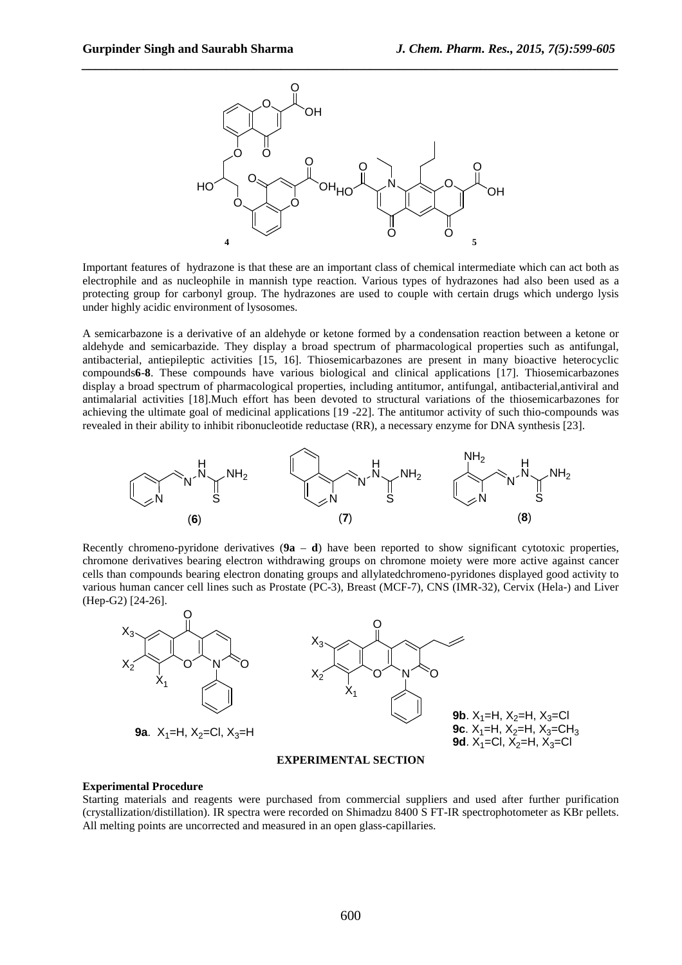

Important features of hydrazone is that these are an important class of chemical intermediate which can act both as electrophile and as nucleophile in mannish type reaction. Various types of hydrazones had also been used as a protecting group for carbonyl group. The hydrazones are used to couple with certain drugs which undergo lysis under highly acidic environment of lysosomes.

A semicarbazone is a derivative of an aldehyde or ketone formed by a condensation reaction between a ketone or aldehyde and semicarbazide. They display a broad spectrum of pharmacological properties such as antifungal, antibacterial, antiepileptic activities [15, 16]. Thiosemicarbazones are present in many bioactive heterocyclic compounds**6**-**8**. These compounds have various biological and clinical applications [17]. Thiosemicarbazones display a broad spectrum of pharmacological properties, including antitumor, antifungal, antibacterial,antiviral and antimalarial activities [18].Much effort has been devoted to structural variations of the thiosemicarbazones for achieving the ultimate goal of medicinal applications [19 -22]. The antitumor activity of such thio-compounds was revealed in their ability to inhibit ribonucleotide reductase (RR), a necessary enzyme for DNA synthesis [23].



Recently chromeno-pyridone derivatives  $(9a - d)$  have been reported to show significant cytotoxic properties, chromone derivatives bearing electron withdrawing groups on chromone moiety were more active against cancer cells than compounds bearing electron donating groups and allylatedchromeno-pyridones displayed good activity to various human cancer cell lines such as Prostate (PC-3), Breast (MCF-7), CNS (IMR-32), Cervix (Hela-) and Liver (Hep-G2) [24-26].



#### **EXPERIMENTAL SECTION**

#### **Experimental Procedure**

Starting materials and reagents were purchased from commercial suppliers and used after further purification (crystallization/distillation). IR spectra were recorded on Shimadzu 8400 S FT-IR spectrophotometer as KBr pellets. All melting points are uncorrected and measured in an open glass-capillaries.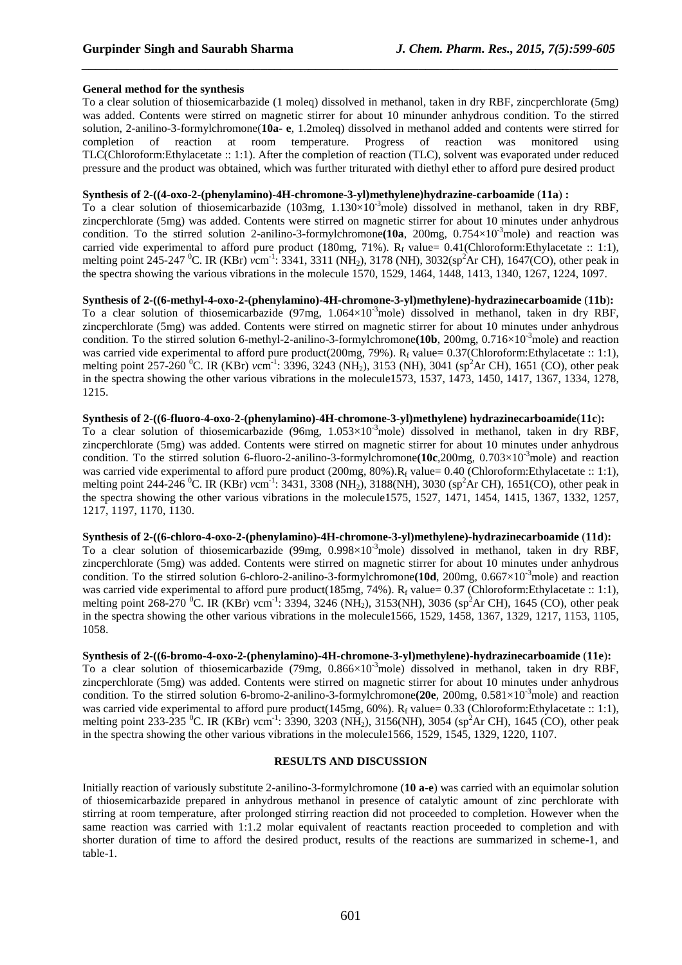## **General method for the synthesis**

To a clear solution of thiosemicarbazide (1 moleq) dissolved in methanol, taken in dry RBF, zincperchlorate (5mg) was added. Contents were stirred on magnetic stirrer for about 10 minunder anhydrous condition. To the stirred solution, 2-anilino-3-formylchromone(**10a- e**, 1.2moleq) dissolved in methanol added and contents were stirred for completion of reaction at room temperature. Progress of reaction was monitored using TLC(Chloroform:Ethylacetate :: 1:1). After the completion of reaction (TLC), solvent was evaporated under reduced pressure and the product was obtained, which was further triturated with diethyl ether to afford pure desired product

*\_\_\_\_\_\_\_\_\_\_\_\_\_\_\_\_\_\_\_\_\_\_\_\_\_\_\_\_\_\_\_\_\_\_\_\_\_\_\_\_\_\_\_\_\_\_\_\_\_\_\_\_\_\_\_\_\_\_\_\_\_\_\_\_\_\_\_\_\_\_\_\_\_\_\_\_\_\_*

## **Synthesis of 2-((4-oxo-2-(phenylamino)-4H-chromone-3-yl)methylene)hydrazine-carboamide** (**11a**) **:**

To a clear solution of thiosemicarbazide (103mg,  $1.130 \times 10^{-3}$  mole) dissolved in methanol, taken in dry RBF, zincperchlorate (5mg) was added. Contents were stirred on magnetic stirrer for about 10 minutes under anhydrous condition. To the stirred solution 2-anilino-3-formylchromone (10a, 200mg,  $0.754 \times 10^{-3}$  mole) and reaction was carried vide experimental to afford pure product (180mg, 71%).  $R_f$  value= 0.41(Chloroform:Ethylacetate :: 1:1), melting point 245-247 <sup>0</sup>C. IR (KBr) *v*cm-1: 3341, 3311 (NH2), 3178 (NH), 3032(sp<sup>2</sup>Ar CH), 1647(CO), other peak in the spectra showing the various vibrations in the molecule 1570, 1529, 1464, 1448, 1413, 1340, 1267, 1224, 1097.

**Synthesis of 2-((6-methyl-4-oxo-2-(phenylamino)-4H-chromone-3-yl)methylene)-hydrazinecarboamide** (**11b**)**:**  To a clear solution of thiosemicarbazide (97mg,  $1.064 \times 10^{-3}$  mole) dissolved in methanol, taken in dry RBF, zincperchlorate (5mg) was added. Contents were stirred on magnetic stirrer for about 10 minutes under anhydrous condition. To the stirred solution 6-methyl-2-anilino-3-formylchromone(10b, 200mg, 0.716×10<sup>-3</sup>mole) and reaction was carried vide experimental to afford pure product(200mg, 79%).  $R_f$  value= 0.37(Chloroform:Ethylacetate :: 1:1), melting point 257-260 <sup>0</sup>C. IR (KBr) *v*cm<sup>-1</sup>: 3396, 3243 (NH<sub>2</sub>), 3153 (NH), 3041 (sp<sup>2</sup>Ar CH), 1651 (CO), other peak in the spectra showing the other various vibrations in the molecule1573, 1537, 1473, 1450, 1417, 1367, 1334, 1278, 1215.

#### **Synthesis of 2-((6-fluoro-4-oxo-2-(phenylamino)-4H-chromone-3-yl)methylene) hydrazinecarboamide**(**11c**)**:**

To a clear solution of thiosemicarbazide (96mg,  $1.053 \times 10^{-3}$ mole) dissolved in methanol, taken in dry RBF, zincperchlorate (5mg) was added. Contents were stirred on magnetic stirrer for about 10 minutes under anhydrous condition. To the stirred solution 6-fluoro-2-anilino-3-formylchromone(10c,200mg, 0.703×10<sup>-3</sup>mole) and reaction was carried vide experimental to afford pure product (200mg,  $80\%$ ). $R_f$  value= 0.40 (Chloroform:Ethylacetate :: 1:1), melting point 244-246 <sup>0</sup>C. IR (KBr) *v*cm<sup>-1</sup>: 3431, 3308 (NH<sub>2</sub>), 3188(NH), 3030 (sp<sup>2</sup>Ar CH), 1651(CO), other peak in the spectra showing the other various vibrations in the molecule1575, 1527, 1471, 1454, 1415, 1367, 1332, 1257, 1217, 1197, 1170, 1130.

#### **Synthesis of 2-((6-chloro-4-oxo-2-(phenylamino)-4H-chromone-3-yl)methylene)-hydrazinecarboamide** (**11d**)**:**

To a clear solution of thiosemicarbazide (99mg,  $0.998 \times 10^{-3}$  mole) dissolved in methanol, taken in dry RBF, zincperchlorate (5mg) was added. Contents were stirred on magnetic stirrer for about 10 minutes under anhydrous condition. To the stirred solution 6-chloro-2-anilino-3-formylchromone(10d, 200mg, 0.667×10<sup>-3</sup>mole) and reaction was carried vide experimental to afford pure product(185mg, 74%).  $R_f$  value= 0.37 (Chloroform:Ethylacetate :: 1:1), melting point 268-270 <sup>0</sup>C. IR (KBr) *v*cm<sup>-1</sup>: 3394, 3246 (NH<sub>2</sub>), 3153(NH), 3036 (sp<sup>2</sup>Ar CH), 1645 (CO), other peak in the spectra showing the other various vibrations in the molecule1566, 1529, 1458, 1367, 1329, 1217, 1153, 1105, 1058.

#### **Synthesis of 2-((6-bromo-4-oxo-2-(phenylamino)-4H-chromone-3-yl)methylene)-hydrazinecarboamide** (**11e**)**:**

To a clear solution of thiosemicarbazide (79mg,  $0.866 \times 10^{-3}$  mole) dissolved in methanol, taken in dry RBF, zincperchlorate (5mg) was added. Contents were stirred on magnetic stirrer for about 10 minutes under anhydrous condition. To the stirred solution 6-bromo-2-anilino-3-formylchromone(20e, 200mg, 0.581×10<sup>-3</sup>mole) and reaction was carried vide experimental to afford pure product(145mg, 60%). R<sub>f</sub> value= 0.33 (Chloroform:Ethylacetate :: 1:1), melting point 233-235 <sup>0</sup>C. IR (KBr) *v*cm<sup>-1</sup>: 3390, 3203 (NH<sub>2</sub>), 3156(NH), 3054 (sp<sup>2</sup>Ar CH), 1645 (CO), other peak in the spectra showing the other various vibrations in the molecule1566, 1529, 1545, 1329, 1220, 1107.

## **RESULTS AND DISCUSSION**

Initially reaction of variously substitute 2-anilino-3-formylchromone (**10 a-e**) was carried with an equimolar solution of thiosemicarbazide prepared in anhydrous methanol in presence of catalytic amount of zinc perchlorate with stirring at room temperature, after prolonged stirring reaction did not proceeded to completion. However when the same reaction was carried with 1:1.2 molar equivalent of reactants reaction proceeded to completion and with shorter duration of time to afford the desired product, results of the reactions are summarized in scheme-1, and table-1.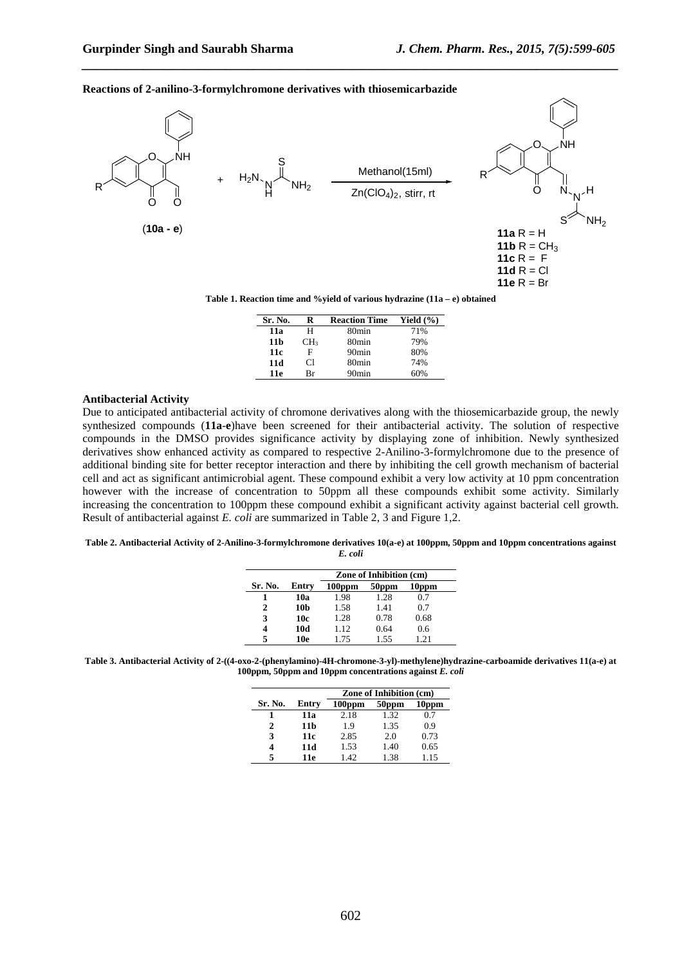#### **Reactions of 2-anilino-3-formylchromone derivatives with thiosemicarbazide**



*\_\_\_\_\_\_\_\_\_\_\_\_\_\_\_\_\_\_\_\_\_\_\_\_\_\_\_\_\_\_\_\_\_\_\_\_\_\_\_\_\_\_\_\_\_\_\_\_\_\_\_\_\_\_\_\_\_\_\_\_\_\_\_\_\_\_\_\_\_\_\_\_\_\_\_\_\_\_*

| Sr. No. | R               | <b>Reaction Time</b> | Yield $(\% )$ |
|---------|-----------------|----------------------|---------------|
| 11a     | н               | 80min                | 71%           |
| 11 b    | CH <sub>3</sub> | 80min                | 79%           |
| 11c     | F               | 90 <sub>min</sub>    | 80%           |
| 11d     | Сl              | 80 <sub>min</sub>    | 74%           |
| 11e     | Rг              | 90 <sub>min</sub>    | 60%           |

#### **Antibacterial Activity**

Due to anticipated antibacterial activity of chromone derivatives along with the thiosemicarbazide group, the newly synthesized compounds (**11a**-**e**)have been screened for their antibacterial activity. The solution of respective compounds in the DMSO provides significance activity by displaying zone of inhibition. Newly synthesized derivatives show enhanced activity as compared to respective 2-Anilino-3-formylchromone due to the presence of additional binding site for better receptor interaction and there by inhibiting the cell growth mechanism of bacterial cell and act as significant antimicrobial agent. These compound exhibit a very low activity at 10 ppm concentration however with the increase of concentration to 50ppm all these compounds exhibit some activity. Similarly increasing the concentration to 100ppm these compound exhibit a significant activity against bacterial cell growth. Result of antibacterial against *E. coli* are summarized in Table 2, 3 and Figure 1,2.

#### **Table 2. Antibacterial Activity of 2-Anilino-3-formylchromone derivatives 10(a-e) at 100ppm, 50ppm and 10ppm concentrations against**

| × | ×<br>×.<br>v<br>×.<br>۰, |
|---|--------------------------|
|---|--------------------------|

|         |       | <b>Zone of Inhibition (cm)</b> |       |       |
|---------|-------|--------------------------------|-------|-------|
| Sr. No. | Entry | $100$ ppm                      | 50ppm | 10ppm |
|         | 10a   | 1.98                           | 1.28  | 0.7   |
| 2       | 10b   | 1.58                           | 1.41  | 0.7   |
| 3       | 10c   | 1.28                           | 0.78  | 0.68  |
| 4       | 10d   | 1.12                           | 0.64  | 0.6   |
| 5       | 10e   | 1.75                           | 1.55  | 1.21  |

**Table 3. Antibacterial Activity of 2-((4-oxo-2-(phenylamino)-4H-chromone-3-yl)-methylene)hydrazine-carboamide derivatives 11(a-e) at 100ppm, 50ppm and 10ppm concentrations against** *E. coli* 

|         |       | <b>Zone of Inhibition (cm)</b> |                   |       |
|---------|-------|--------------------------------|-------------------|-------|
| Sr. No. | Entry | $100$ ppm                      | 50 <sub>ppm</sub> | 10ppm |
|         | 11a   | 2.18                           | 1.32              | 0.7   |
| 2       | 11 b  | 19                             | 1.35              | 0.9   |
| 3       | 11c   | 2.85                           | 2.0               | 0.73  |
|         | 11d   | 1.53                           | 1.40              | 0.65  |
| 5       | 11e   | 1.42                           | 1.38              | 1.15  |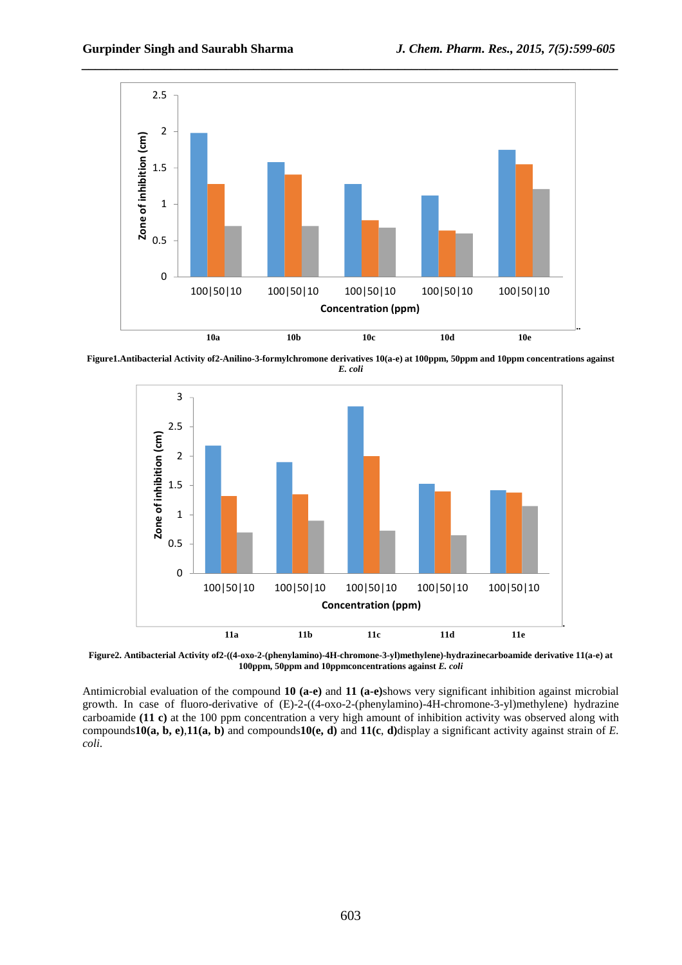

**Figure1.Antibacterial Activity of2-Anilino-3-formylchromone derivatives 10(a-e) at 100ppm, 50ppm and 10ppm concentrations against**  *E. coli*



**Figure2. Antibacterial Activity of2-((4-oxo-2-(phenylamino)-4H-chromone-3-yl)methylene)-hydrazinecarboamide derivative 11(a-e) at 100ppm, 50ppm and 10ppmconcentrations against** *E. coli*

Antimicrobial evaluation of the compound **10 (a-e)** and **11 (a-e)**shows very significant inhibition against microbial growth. In case of fluoro-derivative of (E)-2-((4-oxo-2-(phenylamino)-4H-chromone-3-yl)methylene) hydrazine carboamide **(11 c)** at the 100 ppm concentration a very high amount of inhibition activity was observed along with compounds**10(a, b, e)**,**11(a, b)** and compounds**10(e, d)** and **11(c**, **d)**display a significant activity against strain of *E. coli*.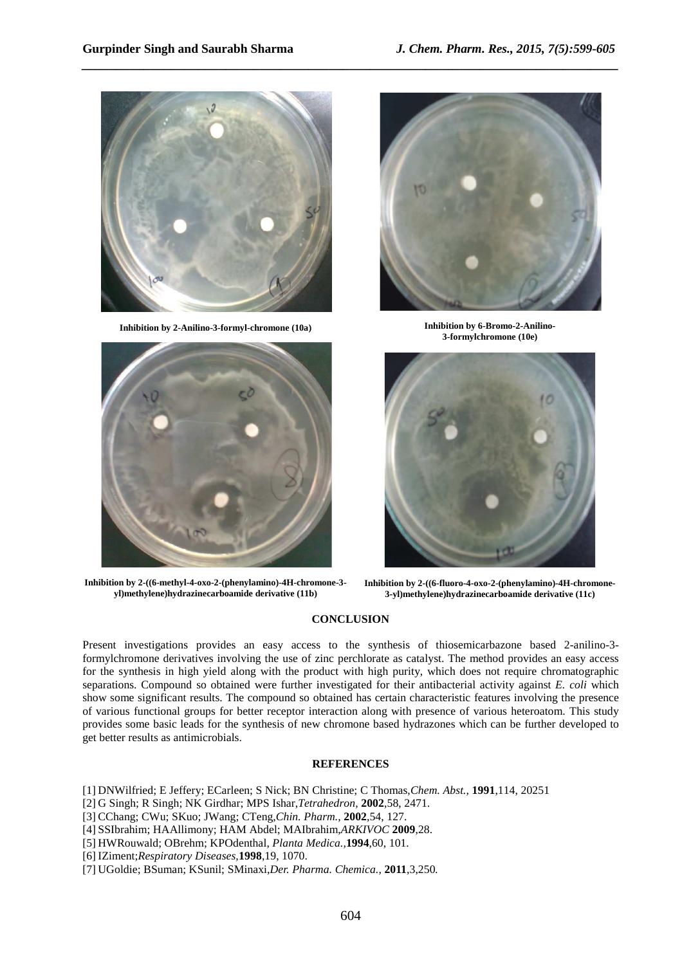

**Inhibition by 2-Anilino-3-formyl-chromone (10a) Inhibition by 6-Bromo-2-Anilino-**



**Inhibition by 2-((6-methyl-4-oxo-2-(phenylamino)-4H-chromone-3 yl)methylene)hydrazinecarboamide derivative (11b)** 



**3-formylchromone (10e)** 



**Inhibition by 2-((6-fluoro-4-oxo-2-(phenylamino)-4H-chromone-3-yl)methylene)hydrazinecarboamide derivative (11c)**

## **CONCLUSION**

*\_\_\_\_\_\_\_\_\_\_\_\_\_\_\_\_\_\_\_\_\_\_\_\_\_\_\_\_\_\_\_\_\_\_\_\_\_\_\_\_\_\_\_\_\_\_\_\_\_\_\_\_\_\_\_\_\_\_\_\_\_\_\_\_\_\_\_\_\_\_\_\_\_\_\_\_\_\_*

Present investigations provides an easy access to the synthesis of thiosemicarbazone based 2-anilino-3 formylchromone derivatives involving the use of zinc perchlorate as catalyst. The method provides an easy access for the synthesis in high yield along with the product with high purity, which does not require chromatographic separations. Compound so obtained were further investigated for their antibacterial activity against *E. coli* which show some significant results. The compound so obtained has certain characteristic features involving the presence of various functional groups for better receptor interaction along with presence of various heteroatom. This study provides some basic leads for the synthesis of new chromone based hydrazones which can be further developed to get better results as antimicrobials.

### **REFERENCES**

- [1] DNWilfried; E Jeffery; ECarleen; S Nick; BN Christine; C Thomas,*Chem. Abst.,* **1991**,114, 20251
- [2] G Singh; R Singh; NK Girdhar; MPS Ishar,*Tetrahedron,* **2002**,58, 2471.
- [3] CChang; CWu; SKuo; JWang; CTeng,*Chin. Pharm.,* **2002**,54, 127.
- [4] SSIbrahim; HAAllimony; HAM Abdel; MAIbrahim,*ARKIVOC* **2009**,28.
- [5] HWRouwald; OBrehm; KPOdenthal, *Planta Medica.,***1994**,60, 101.
- [6] IZiment;*Respiratory Diseases,***1998**,19, 1070.
- [7] UGoldie; BSuman; KSunil; SMinaxi,*Der. Pharma. Chemica.,* **2011**,3,250*.*